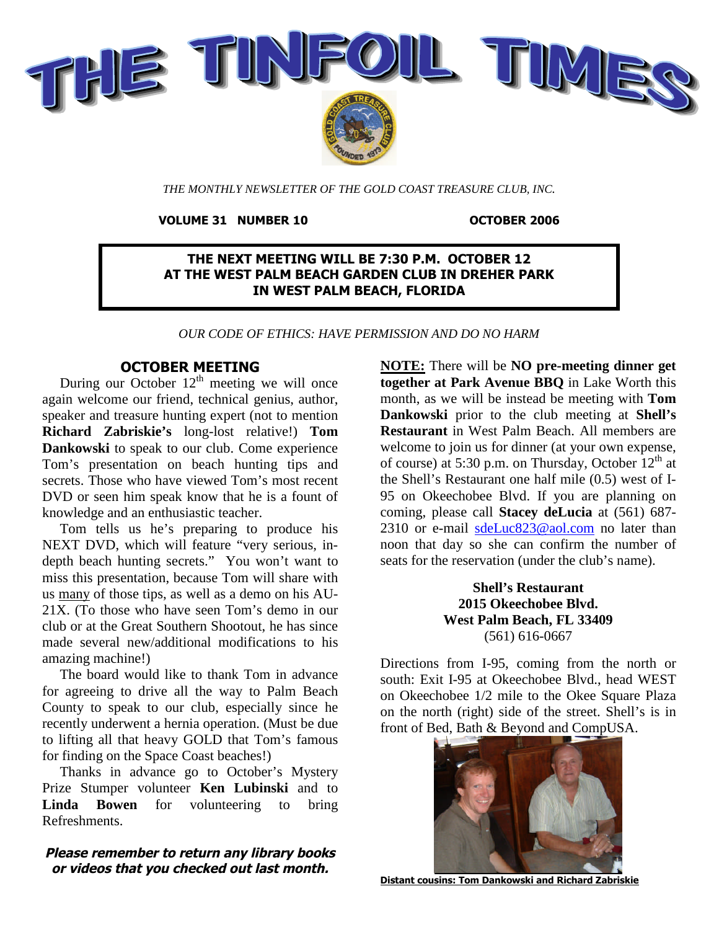

*THE MONTHLY NEWSLETTER OF THE GOLD COAST TREASURE CLUB, INC.*

**VOLUME 31 NUMBER 10 OCTOBER 2006**

**THE NEXT MEETING WILL BE 7:30 P.M. OCTOBER 12 AT THE WEST PALM BEACH GARDEN CLUB IN DREHER PARK IN WEST PALM BEACH, FLORIDA**

*OUR CODE OF ETHICS: HAVE PERMISSION AND DO NO HARM*

# **OCTOBER MEETING**

During our October  $12<sup>th</sup>$  meeting we will once again welcome our friend, technical genius, author, speaker and treasure hunting expert (not to mention **Richard Zabriskie's** long-lost relative!) **Tom Dankowski** to speak to our club. Come experience Tom's presentation on beach hunting tips and secrets. Those who have viewed Tom's most recent DVD or seen him speak know that he is a fount of knowledge and an enthusiastic teacher.

Tom tells us he's preparing to produce his NEXT DVD, which will feature "very serious, indepth beach hunting secrets." You won't want to miss this presentation, because Tom will share with us many of those tips, as well as a demo on his AU-21X. (To those who have seen Tom's demo in our club or at the Great Southern Shootout, he has since made several new/additional modifications to his amazing machine!)

The board would like to thank Tom in advance for agreeing to drive all the way to Palm Beach County to speak to our club, especially since he recently underwent a hernia operation. (Must be due to lifting all that heavy GOLD that Tom's famous for finding on the Space Coast beaches!)

Thanks in advance go to October's Mystery Prize Stumper volunteer **Ken Lubinski** and to Linda Bowen for volunteering to bring Refreshments.

# **Please remember to return any library books or videos that you checked out last month.**

**NOTE:** There will be **NO pre-meeting dinner get together at Park Avenue BBQ** in Lake Worth this month, as we will be instead be meeting with **Tom Dankowski** prior to the club meeting at **Shell's Restaurant** in West Palm Beach. All members are welcome to join us for dinner (at your own expense, of course) at 5:30 p.m. on Thursday, October  $12<sup>th</sup>$  at the Shell's Restaurant one half mile (0.5) west of I-95 on Okeechobee Blvd. If you are planning on coming, please call **Stacey deLucia** at (561) 687 2310 or e-mail [sdeLuc823@aol.com](mailto:sdeLuc823@aol.com) no later than noon that day so she can confirm the number of seats for the reservation (under the club's name).

# **Shell's Restaurant 2015 Okeechobee Blvd. West Palm Beach, FL 33409** (561) 616-0667

Directions from I-95, coming from the north or south: Exit I-95 at Okeechobee Blvd., head WEST on Okeechobee 1/2 mile to the Okee Square Plaza on the north (right) side of the street. Shell's is in front of Bed, Bath & Beyond and CompUSA.



**Distant cousins: Tom Dankowski and Richard Zabriskie**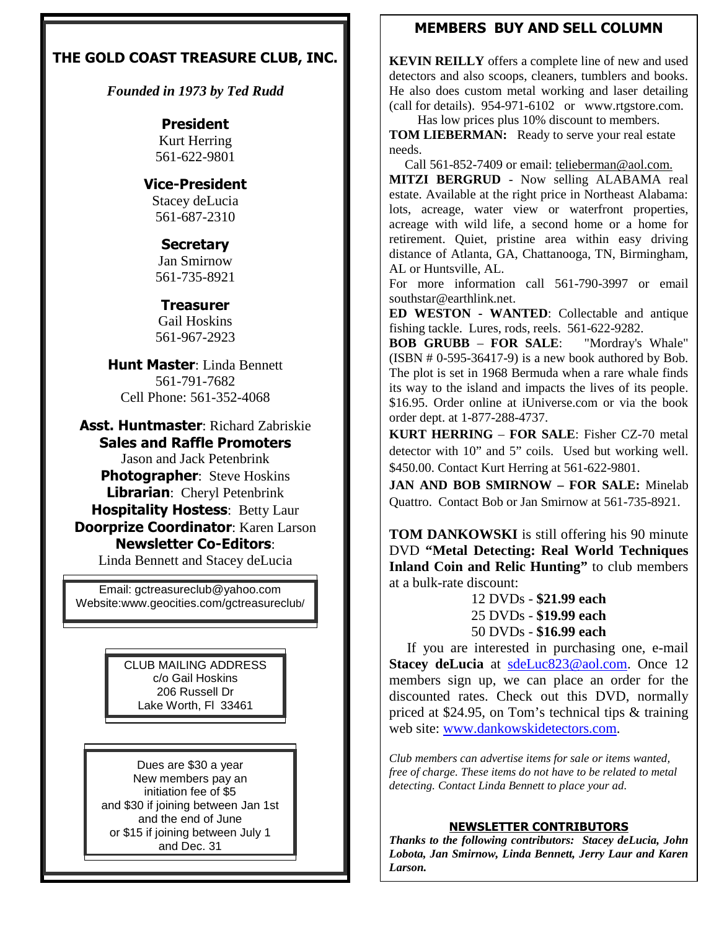# **THE GOLD COAST TREASURE CLUB, INC.**

*Founded in 1973 by Ted Rudd*

# **President**

Kurt Herring 561-622-9801

# **Vice-President**

Stacey deLucia 561-687-2310

# **Secretary**

Jan Smirnow 561-735-8921

# **Treasurer**

Gail Hoskins 561-967-2923

**Hunt Master**: Linda Bennett 561-791-7682 Cell Phone: 561-352-4068

**Asst. Huntmaster**: Richard Zabriskie **Sales and Raffle Promoters** Jason and Jack Petenbrink **Photographer**: Steve Hoskins **Librarian**: Cheryl Petenbrink **Hospitality Hostess**: Betty Laur **Doorprize Coordinator**: Karen Larson **Newsletter Co-Editors**:

Linda Bennett and Stacey deLucia

Email: gctreasureclub@yahoo.com Website:www.geocities.com/gctreasureclub/

> CLUB MAILING ADDRESS c/o Gail Hoskins 206 Russell Dr Lake Worth, Fl 33461

Dues are \$30 a year New members pay an initiation fee of \$5 and \$30 if joining between Jan 1st and the end of June or \$15 if joining between July 1 and Dec. 31

# **MEMBERS BUY AND SELL COLUMN**

**KEVIN REILLY** offers a complete line of new and used detectors and also scoops, cleaners, tumblers and books. He also does custom metal working and laser detailing (call for details). 954-971-6102 or www.rtgstore.com. Has low prices plus 10% discount to members.

**TOM LIEBERMAN:** Ready to serve your real estate needs.

Call 561-852-7409 or email: telieberman@aol.com.

**MITZI BERGRUD** - Now selling ALABAMA real estate. Available at the right price in Northeast Alabama: lots, acreage, water view or waterfront properties, acreage with wild life, a second home or a home for retirement. Quiet, pristine area within easy driving distance of Atlanta, GA, Chattanooga, TN, Birmingham, AL or Huntsville, AL.

For more information call 561-790-3997 or email southstar@earthlink.net.

**ED WESTON - WANTED**: Collectable and antique fishing tackle. Lures, rods, reels. 561-622-9282.

**BOB GRUBB** – **FOR SALE**: "Mordray's Whale"  $(ISBN # 0-595-36417-9)$  is a new book authored by Bob. The plot is set in 1968 Bermuda when a rare whale finds its way to the island and impacts the lives of its people. \$16.95. Order online at iUniverse.com or via the book order dept. at 1-877-288-4737.

**KURT HERRING** – **FOR SALE**: Fisher CZ-70 metal detector with 10" and 5" coils. Used but working well. \$450.00. Contact Kurt Herring at 561-622-9801.

**JAN AND BOB SMIRNOW – FOR SALE:** Minelab Quattro. Contact Bob or Jan Smirnow at 561-735-8921.

**TOM DANKOWSKI** is still offering his 90 minute DVD **"Metal Detecting: Real World Techniques Inland Coin and Relic Hunting"** to club members at a bulk-rate discount:

> 12 DVDs - **\$21.99 each** 25 DVDs - **\$19.99 each** 50 DVDs - **\$16.99 each**

If you are interested in purchasing one, e-mail **Stacey deLucia** at [sdeLuc823@aol.com.](mailto:sdeLuc823@aol.com) Once 12 members sign up, we can place an order for the discounted rates. Check out this DVD, normally priced at \$24.95, on Tom's technical tips & training web site: [www.dankowskidetectors.com.](http://www.dankowskidetectors.com/)

*Club members can advertise items for sale or items wanted, free of charge. These items do not have to be related to metal detecting. Contact Linda Bennett to place your ad.*

# **NEWSLETTER CONTRIBUTORS**

*Thanks to the following contributors: Stacey deLucia, John Lobota, Jan Smirnow, Linda Bennett, Jerry Laur and Karen Larson.*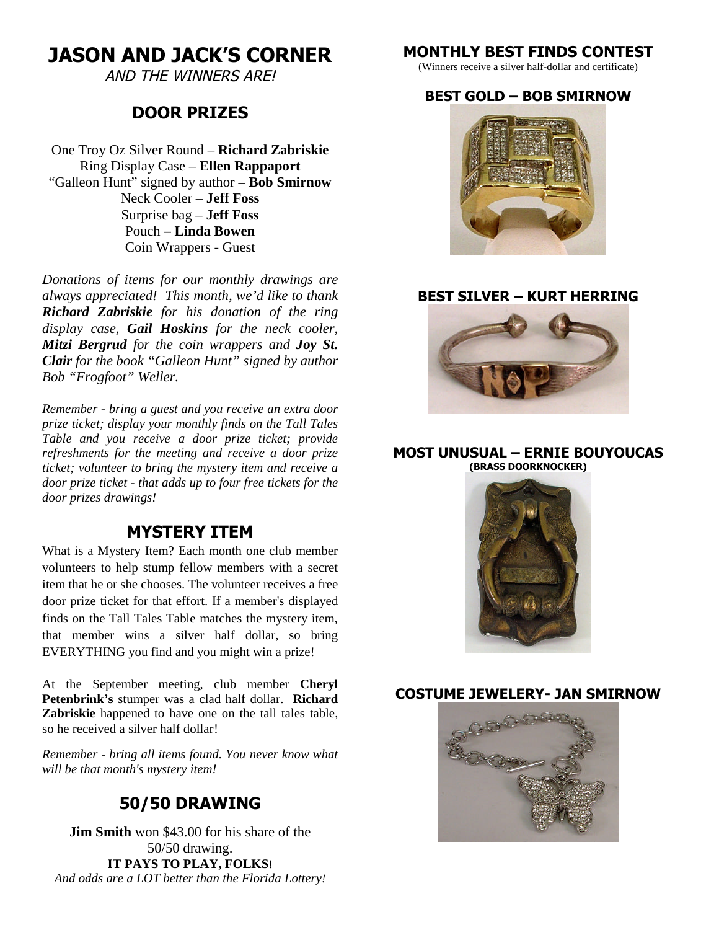# **JASON AND JACK'S CORNER**

AND THE WINNERS ARE!

# **DOOR PRIZES**

One Troy Oz Silver Round – **Richard Zabriskie** Ring Display Case – **Ellen Rappaport** "Galleon Hunt" signed by author – **Bob Smirnow** Neck Cooler – **Jeff Foss** Surprise bag – **Jeff Foss** Pouch **– Linda Bowen** Coin Wrappers - Guest

*Donations of items for our monthly drawings are always appreciated! This month, we'd like to thank Richard Zabriskie for his donation of the ring display case, Gail Hoskins for the neck cooler, Mitzi Bergrud for the coin wrappers and Joy St. Clair for the book "Galleon Hunt" signed by author Bob "Frogfoot" Weller.*

*Remember - bring a guest and you receive an extra door prize ticket; display your monthly finds on the Tall Tales Table and you receive a door prize ticket; provide refreshments for the meeting and receive a door prize ticket; volunteer to bring the mystery item and receive a door prize ticket - that adds up to four free tickets for the door prizes drawings!*

# **MYSTERY ITEM**

What is a Mystery Item? Each month one club member volunteers to help stump fellow members with a secret item that he or she chooses. The volunteer receives a free door prize ticket for that effort. If a member's displayed finds on the Tall Tales Table matches the mystery item, that member wins a silver half dollar, so bring EVERYTHING you find and you might win a prize!

At the September meeting, club member **Cheryl Petenbrink's** stumper was a clad half dollar. **Richard Zabriskie** happened to have one on the tall tales table, so he received a silver half dollar!

*Remember - bring all items found. You never know what will be that month's mystery item!*

# **50/50 DRAWING**

**Jim Smith** won \$43.00 for his share of the 50/50 drawing. **IT PAYS TO PLAY, FOLKS!** *And odds are a LOT better than the Florida Lottery!*

# **MONTHLY BEST FINDS CONTEST**

(Winners receive a silver half-dollar and certificate)

# **BEST GOLD – BOB SMIRNOW**



# **BEST SILVER – KURT HERRING**



# **MOST UNUSUAL – ERNIE BOUYOUCAS (BRASS DOORKNOCKER)**



# **COSTUME JEWELERY- JAN SMIRNOW**

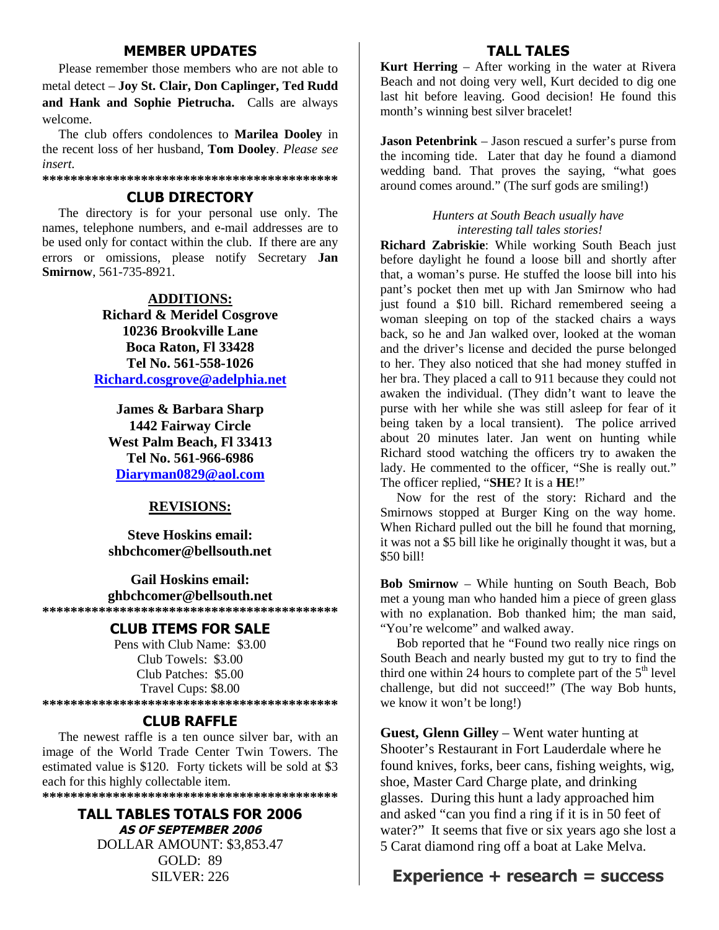# **MEMBER UPDATES**

Please remember those members who are not able to metal detect – **Joy St. Clair, Don Caplinger, Ted Rudd and Hank and Sophie Pietrucha.** Calls are always welcome.

The club offers condolences to **Marilea Dooley** in the recent loss of her husband, **Tom Dooley**. *Please see insert.*

**\*\*\*\*\*\*\*\*\*\*\*\*\*\*\*\*\*\*\*\*\*\*\*\*\*\*\*\*\*\*\*\*\*\*\*\*\*\*\*\*\*\***

# **CLUB DIRECTORY**

The directory is for your personal use only. The names, telephone numbers, and e-mail addresses are to be used only for contact within the club. If there are any errors or omissions, please notify Secretary **Jan Smirnow**, 561-735-8921.

## **ADDITIONS:**

**Richard & Meridel Cosgrove 10236 Brookville Lane Boca Raton, Fl 33428 Tel No. 561-558-1026 [Richard.cosgrove@adelphia.net](mailto:Richard.cosgrove@adelphia.net)**

**James & Barbara Sharp 1442 Fairway Circle West Palm Beach, Fl 33413 Tel No. 561-966-6986 [Diaryman0829@aol.com](mailto:Diaryman0829@aol.com)**

# **REVISIONS:**

**Steve Hoskins email: shbchcomer@bellsouth.net**

**Gail Hoskins email: ghbchcomer@bellsouth.net \*\*\*\*\*\*\*\*\*\*\*\*\*\*\*\*\*\*\*\*\*\*\*\*\*\*\*\*\*\*\*\*\*\*\*\*\*\*\*\*\*\***

# **CLUB ITEMS FOR SALE**

Pens with Club Name: \$3.00 Club Towels: \$3.00 Club Patches: \$5.00 Travel Cups: \$8.00 **\*\*\*\*\*\*\*\*\*\*\*\*\*\*\*\*\*\*\*\*\*\*\*\*\*\*\*\*\*\*\*\*\*\*\*\*\*\*\*\*\*\***

# **CLUB RAFFLE**

The newest raffle is a ten ounce silver bar, with an image of the World Trade Center Twin Towers. The estimated value is \$120. Forty tickets will be sold at \$3 each for this highly collectable item.

**\*\*\*\*\*\*\*\*\*\*\*\*\*\*\*\*\*\*\*\*\*\*\*\*\*\*\*\*\*\*\*\*\*\*\*\*\*\*\*\*\*\***

**TALL TABLES TOTALS FOR 2006 AS OF SEPTEMBER 2006** DOLLAR AMOUNT: \$3,853.47 GOLD: 89 SILVER: 226

# **TALL TALES**

**Kurt Herring** – After working in the water at Rivera Beach and not doing very well, Kurt decided to dig one last hit before leaving. Good decision! He found this month's winning best silver bracelet!

**Jason Petenbrink** – Jason rescued a surfer's purse from the incoming tide. Later that day he found a diamond wedding band. That proves the saying, "what goes around comes around." (The surf gods are smiling!)

#### *Hunters at South Beach usually have interesting tall tales stories!*

**Richard Zabriskie**: While working South Beach just before daylight he found a loose bill and shortly after that, a woman's purse. He stuffed the loose bill into his pant's pocket then met up with Jan Smirnow who had just found a \$10 bill. Richard remembered seeing a woman sleeping on top of the stacked chairs a ways back, so he and Jan walked over, looked at the woman and the driver's license and decided the purse belonged to her. They also noticed that she had money stuffed in her bra. They placed a call to 911 because they could not awaken the individual. (They didn't want to leave the purse with her while she was still asleep for fear of it being taken by a local transient). The police arrived about 20 minutes later. Jan went on hunting while Richard stood watching the officers try to awaken the lady. He commented to the officer, "She is really out." The officer replied, "**SHE**? It is a **HE**!"

Now for the rest of the story: Richard and the Smirnows stopped at Burger King on the way home. When Richard pulled out the bill he found that morning, it was not a \$5 bill like he originally thought it was, but a \$50 bill!

**Bob Smirnow** – While hunting on South Beach, Bob met a young man who handed him a piece of green glass with no explanation. Bob thanked him; the man said, "You're welcome" and walked away.

Bob reported that he "Found two really nice rings on South Beach and nearly busted my gut to try to find the third one within 24 hours to complete part of the  $5<sup>th</sup>$  level challenge, but did not succeed!" (The way Bob hunts, we know it won't be long!)

**Guest, Glenn Gilley** – Went water hunting at Shooter's Restaurant in Fort Lauderdale where he found knives, forks, beer cans, fishing weights, wig, shoe, Master Card Charge plate, and drinking glasses. During this hunt a lady approached him and asked "can you find a ring if it is in 50 feet of water?" It seems that five or six years ago she lost a 5 Carat diamond ring off a boat at Lake Melva.

# **Experience + research = success**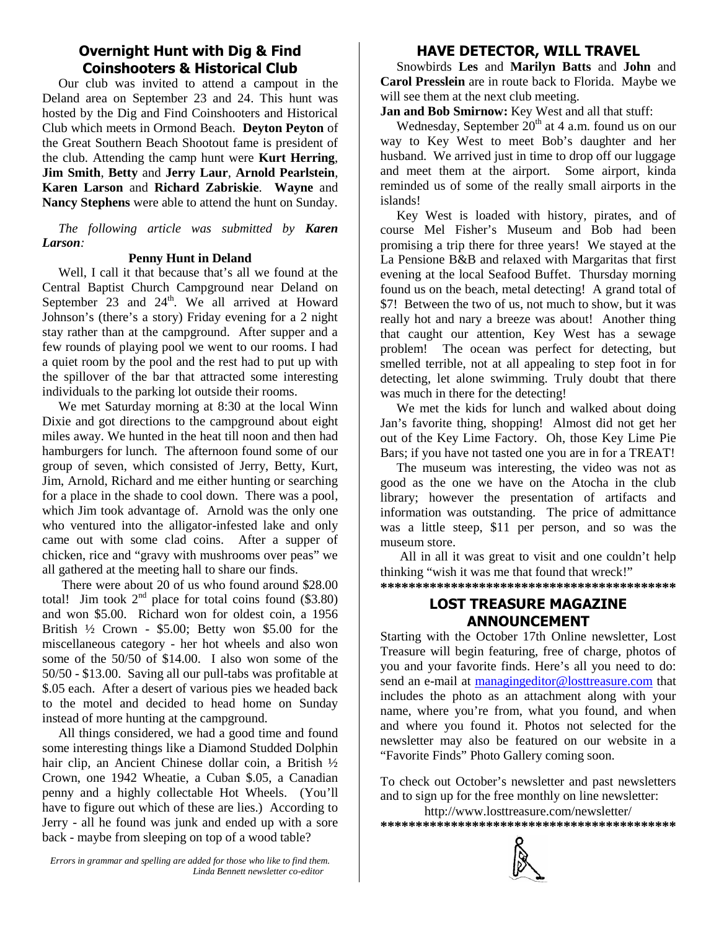# **Overnight Hunt with Dig & Find Coinshooters & Historical Club**

Our club was invited to attend a campout in the Deland area on September 23 and 24. This hunt was hosted by the Dig and Find Coinshooters and Historical Club which meets in Ormond Beach. **Deyton Peyton** of the Great Southern Beach Shootout fame is president of the club. Attending the camp hunt were **Kurt Herring**, **Jim Smith**, **Betty** and **Jerry Laur**, **Arnold Pearlstein**, **Karen Larson** and **Richard Zabriskie**. **Wayne** and **Nancy Stephens** were able to attend the hunt on Sunday.

*The following article was submitted by Karen Larson:*

# **Penny Hunt in Deland**

Well, I call it that because that's all we found at the Central Baptist Church Campground near Deland on September 23 and  $24<sup>th</sup>$ . We all arrived at Howard Johnson's (there's a story) Friday evening for a 2 night stay rather than at the campground. After supper and a few rounds of playing pool we went to our rooms. I had a quiet room by the pool and the rest had to put up with the spillover of the bar that attracted some interesting individuals to the parking lot outside their rooms.

We met Saturday morning at 8:30 at the local Winn Dixie and got directions to the campground about eight miles away. We hunted in the heat till noon and then had hamburgers for lunch. The afternoon found some of our group of seven, which consisted of Jerry, Betty, Kurt, Jim, Arnold, Richard and me either hunting or searching for a place in the shade to cool down. There was a pool, which Jim took advantage of. Arnold was the only one who ventured into the alligator-infested lake and only came out with some clad coins. After a supper of chicken, rice and "gravy with mushrooms over peas" we all gathered at the meeting hall to share our finds.

There were about 20 of us who found around \$28.00 total! Jim took  $2<sup>nd</sup>$  place for total coins found (\$3.80) and won \$5.00. Richard won for oldest coin, a 1956 British ½ Crown - \$5.00; Betty won \$5.00 for the miscellaneous category - her hot wheels and also won some of the 50/50 of \$14.00. I also won some of the 50/50 - \$13.00. Saving all our pull-tabs was profitable at \$.05 each. After a desert of various pies we headed back to the motel and decided to head home on Sunday instead of more hunting at the campground.

All things considered, we had a good time and found some interesting things like a Diamond Studded Dolphin hair clip, an Ancient Chinese dollar coin, a British ½ Crown, one 1942 Wheatie, a Cuban \$.05, a Canadian penny and a highly collectable Hot Wheels. (You'll have to figure out which of these are lies.) According to Jerry - all he found was junk and ended up with a sore back - maybe from sleeping on top of a wood table?

# **HAVE DETECTOR, WILL TRAVEL**

Snowbirds **Les** and **Marilyn Batts** and **John** and **Carol Presslein** are in route back to Florida. Maybe we will see them at the next club meeting.

**Jan and Bob Smirnow:** Key West and all that stuff:

Wednesday, September  $20<sup>th</sup>$  at 4 a.m. found us on our way to Key West to meet Bob's daughter and her husband. We arrived just in time to drop off our luggage and meet them at the airport. Some airport, kinda reminded us of some of the really small airports in the islands!

Key West is loaded with history, pirates, and of course Mel Fisher's Museum and Bob had been promising a trip there for three years! We stayed at the La Pensione B&B and relaxed with Margaritas that first evening at the local Seafood Buffet. Thursday morning found us on the beach, metal detecting! A grand total of \$7! Between the two of us, not much to show, but it was really hot and nary a breeze was about! Another thing that caught our attention, Key West has a sewage problem! The ocean was perfect for detecting, but smelled terrible, not at all appealing to step foot in for detecting, let alone swimming. Truly doubt that there was much in there for the detecting!

We met the kids for lunch and walked about doing Jan's favorite thing, shopping! Almost did not get her out of the Key Lime Factory. Oh, those Key Lime Pie Bars; if you have not tasted one you are in for a TREAT!

The museum was interesting, the video was not as good as the one we have on the Atocha in the club library; however the presentation of artifacts and information was outstanding. The price of admittance was a little steep, \$11 per person, and so was the museum store.

All in all it was great to visit and one couldn't help thinking "wish it was me that found that wreck!" **\*\*\*\*\*\*\*\*\*\*\*\*\*\*\*\*\*\*\*\*\*\*\*\*\*\*\*\*\*\*\*\*\*\*\*\*\*\*\*\*\*\***

> **LOST TREASURE MAGAZINE ANNOUNCEMENT**

Starting with the October 17th Online newsletter, Lost Treasure will begin featuring, free of charge, photos of you and your favorite finds. Here's all you need to do: send an e-mail at [managingeditor@losttreasure.com](mailto:managingeditor@losttreasure.com) that includes the photo as an attachment along with your name, where you're from, what you found, and when and where you found it. Photos not selected for the newsletter may also be featured on our website in a "Favorite Finds" Photo Gallery coming soon.

To check out October's newsletter and past newsletters and to sign up for the free monthly on line newsletter:

http://www.losttreasure.com/newsletter/

**\*\*\*\*\*\*\*\*\*\*\*\*\*\*\*\*\*\*\*\*\*\*\*\*\*\*\*\*\*\*\*\*\*\*\*\*\*\*\*\*\*\***

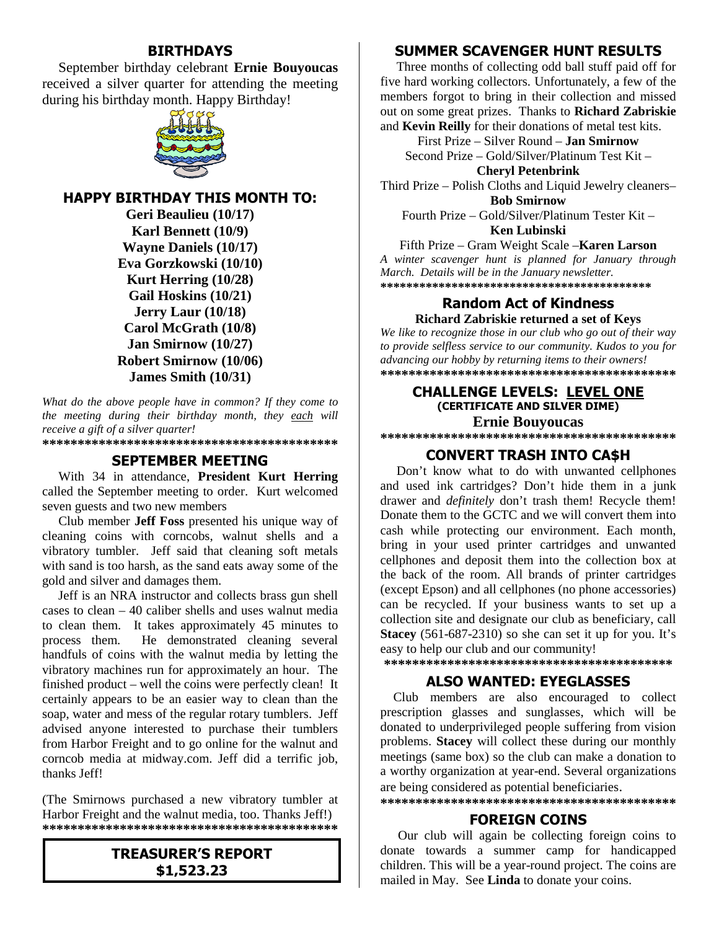# **BIRTHDAYS**

September birthday celebrant **Ernie Bouyoucas** received a silver quarter for attending the meeting during his birthday month. Happy Birthday!



**HAPPY BIRTHDAY THIS MONTH TO:**

**Geri Beaulieu (10/17) Karl Bennett (10/9) Wayne Daniels (10/17) Eva Gorzkowski (10/10) Kurt Herring (10/28) Gail Hoskins (10/21) Jerry Laur (10/18) Carol McGrath (10/8) Jan Smirnow (10/27) Robert Smirnow (10/06) James Smith (10/31)**

*What do the above people have in common? If they come to the meeting during their birthday month, they each will receive a gift of a silver quarter!*

### **\*\*\*\*\*\*\*\*\*\*\*\*\*\*\*\*\*\*\*\*\*\*\*\*\*\*\*\*\*\*\*\*\*\*\*\*\*\*\*\*\*\***

# **SEPTEMBER MEETING**

With 34 in attendance, **President Kurt Herring** called the September meeting to order. Kurt welcomed seven guests and two new members

Club member **Jeff Foss** presented his unique way of cleaning coins with corncobs, walnut shells and a vibratory tumbler. Jeff said that cleaning soft metals with sand is too harsh, as the sand eats away some of the gold and silver and damages them.

Jeff is an NRA instructor and collects brass gun shell cases to clean – 40 caliber shells and uses walnut media to clean them. It takes approximately 45 minutes to process them. He demonstrated cleaning several handfuls of coins with the walnut media by letting the vibratory machines run for approximately an hour. The finished product – well the coins were perfectly clean! It certainly appears to be an easier way to clean than the soap, water and mess of the regular rotary tumblers. Jeff advised anyone interested to purchase their tumblers from Harbor Freight and to go online for the walnut and corncob media at midway.com. Jeff did a terrific job, thanks Jeff!

(The Smirnows purchased a new vibratory tumbler at Harbor Freight and the walnut media, too. Thanks Jeff!) **\*\*\*\*\*\*\*\*\*\*\*\*\*\*\*\*\*\*\*\*\*\*\*\*\*\*\*\*\*\*\*\*\*\*\*\*\*\*\*\*\*\***

# **TREASURER'S REPORT \$1,523.23**

# **SUMMER SCAVENGER HUNT RESULTS**

Three months of collecting odd ball stuff paid off for five hard working collectors. Unfortunately, a few of the members forgot to bring in their collection and missed out on some great prizes. Thanks to **Richard Zabriskie** and **Kevin Reilly** for their donations of metal test kits.

First Prize – Silver Round – **Jan Smirnow** Second Prize – Gold/Silver/Platinum Test Kit –

**Cheryl Petenbrink**

Third Prize – Polish Cloths and Liquid Jewelry cleaners– **Bob Smirnow**

Fourth Prize – Gold/Silver/Platinum Tester Kit – **Ken Lubinski**

#### Fifth Prize – Gram Weight Scale –**Karen Larson**

*A winter scavenger hunt is planned for January through March. Details will be in the January newsletter.* **\*\*\*\*\*\*\*\*\*\*\*\*\*\*\*\*\*\*\*\*\*\*\*\*\*\*\*\*\*\*\*\*\*\*\*\*\*\*\*\*\*\***

#### **Random Act of Kindness Richard Zabriskie returned a set of Keys**

*We like to recognize those in our club who go out of their way to provide selfless service to our community. Kudos to you for advancing our hobby by returning items to their owners!* **\*\*\*\*\*\*\*\*\*\*\*\*\*\*\*\*\*\*\*\*\*\*\*\*\*\*\*\*\*\*\*\*\*\*\*\*\*\*\*\*\*\***

#### **CHALLENGE LEVELS: LEVEL ONE (CERTIFICATE AND SILVER DIME) Ernie Bouyoucas**

**\*\*\*\*\*\*\*\*\*\*\*\*\*\*\*\*\*\*\*\*\*\*\*\*\*\*\*\*\*\*\*\*\*\*\*\*\*\*\*\*\*\***

# **CONVERT TRASH INTO CA\$H**

Don't know what to do with unwanted cellphones and used ink cartridges? Don't hide them in a junk drawer and *definitely* don't trash them! Recycle them! Donate them to the GCTC and we will convert them into cash while protecting our environment. Each month, bring in your used printer cartridges and unwanted cellphones and deposit them into the collection box at the back of the room. All brands of printer cartridges (except Epson) and all cellphones (no phone accessories) can be recycled. If your business wants to set up a collection site and designate our club as beneficiary, call **Stacey** (561-687-2310) so she can set it up for you. It's easy to help our club and our community!

**\*\*\*\*\*\*\*\*\*\*\*\*\*\*\*\*\*\*\*\*\*\*\*\*\*\*\*\*\*\*\*\*\*\*\*\*\*\*\*\*\***

#### **ALSO WANTED: EYEGLASSES**

Club members are also encouraged to collect prescription glasses and sunglasses, which will be donated to underprivileged people suffering from vision problems. **Stacey** will collect these during our monthly meetings (same box) so the club can make a donation to a worthy organization at year-end. Several organizations are being considered as potential beneficiaries. **\*\*\*\*\*\*\*\*\*\*\*\*\*\*\*\*\*\*\*\*\*\*\*\*\*\*\*\*\*\*\*\*\*\*\*\*\*\*\*\*\*\***

#### **FOREIGN COINS**

Our club will again be collecting foreign coins to donate towards a summer camp for handicapped children. This will be a year-round project. The coins are mailed in May. See **Linda** to donate your coins.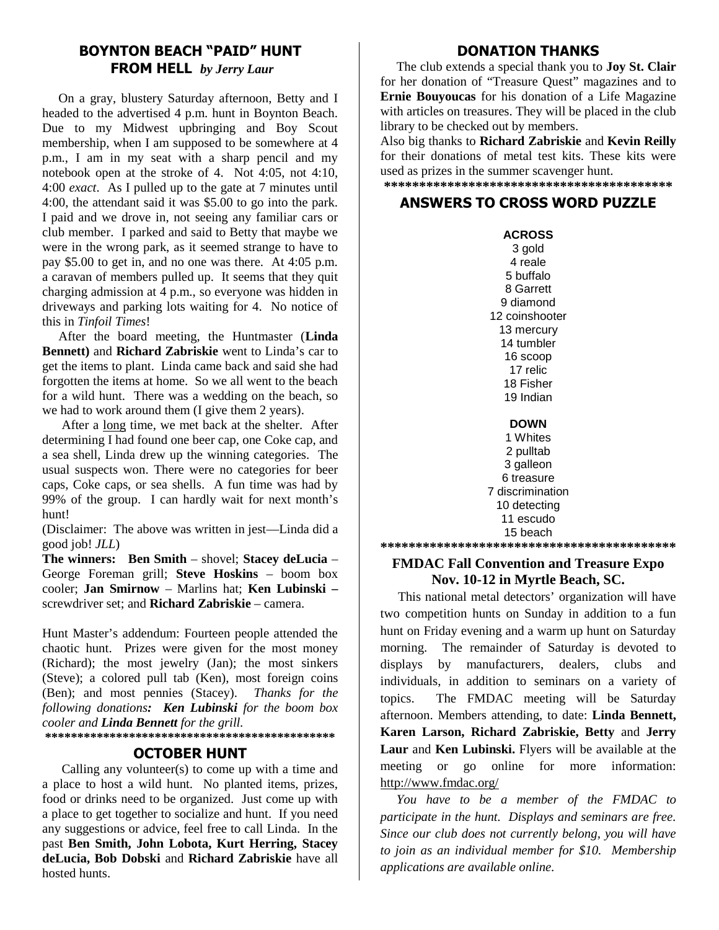# **BOYNTON BEACH "PAID" HUNT FROM HELL** *by Jerry Laur*

On a gray, blustery Saturday afternoon, Betty and I headed to the advertised 4 p.m. hunt in Boynton Beach. Due to my Midwest upbringing and Boy Scout membership, when I am supposed to be somewhere at 4 p.m., I am in my seat with a sharp pencil and my notebook open at the stroke of 4. Not 4:05, not 4:10, 4:00 *exact*. As I pulled up to the gate at 7 minutes until 4:00, the attendant said it was \$5.00 to go into the park. I paid and we drove in, not seeing any familiar cars or club member. I parked and said to Betty that maybe we were in the wrong park, as it seemed strange to have to pay \$5.00 to get in, and no one was there. At 4:05 p.m. a caravan of members pulled up. It seems that they quit charging admission at 4 p.m., so everyone was hidden in driveways and parking lots waiting for 4. No notice of this in *Tinfoil Times*!

After the board meeting, the Huntmaster (**Linda Bennett)** and **Richard Zabriskie** went to Linda's car to get the items to plant. Linda came back and said she had forgotten the items at home. So we all went to the beach for a wild hunt. There was a wedding on the beach, so we had to work around them (I give them 2 years).

After a long time, we met back at the shelter. After determining I had found one beer cap, one Coke cap, and a sea shell, Linda drew up the winning categories. The usual suspects won. There were no categories for beer caps, Coke caps, or sea shells. A fun time was had by 99% of the group. I can hardly wait for next month's hunt!

(Disclaimer: The above was written in jest—Linda did a good job! *JLL*)

**The winners: Ben Smith** – shovel; **Stacey deLucia** – George Foreman grill; **Steve Hoskins** – boom box cooler; **Jan Smirnow** – Marlins hat; **Ken Lubinski –** screwdriver set; and **Richard Zabriskie** – camera.

Hunt Master's addendum: Fourteen people attended the chaotic hunt. Prizes were given for the most money (Richard); the most jewelry (Jan); the most sinkers (Steve); a colored pull tab (Ken), most foreign coins (Ben); and most pennies (Stacey). *Thanks for the following donations: Ken Lubinski for the boom box cooler and Linda Bennett for the grill.*

**\*\*\*\*\*\*\*\*\*\*\*\*\*\*\*\*\*\*\*\*\*\*\*\*\*\*\*\*\*\*\*\*\*\*\*\*\*\*\*\*\*\*\*\*\***

# **OCTOBER HUNT**

Calling any volunteer(s) to come up with a time and a place to host a wild hunt. No planted items, prizes, food or drinks need to be organized. Just come up with a place to get together to socialize and hunt. If you need any suggestions or advice, feel free to call Linda. In the past **Ben Smith, John Lobota, Kurt Herring, Stacey deLucia, Bob Dobski** and **Richard Zabriskie** have all hosted hunts.

# **DONATION THANKS**

The club extends a special thank you to **Joy St. Clair** for her donation of "Treasure Quest" magazines and to **Ernie Bouyoucas** for his donation of a Life Magazine with articles on treasures. They will be placed in the club library to be checked out by members.

Also big thanks to **Richard Zabriskie** and **Kevin Reilly** for their donations of metal test kits. These kits were used as prizes in the summer scavenger hunt. **\*\*\*\*\*\*\*\*\*\*\*\*\*\*\*\*\*\*\*\*\*\*\*\*\*\*\*\*\*\*\*\*\*\*\*\*\*\*\*\*\***

# **ANSWERS TO CROSS WORD PUZZLE**

**ACROSS** 3 gold 4 reale 5 buffalo 8 Garrett 9 diamond 12 coinshooter 13 mercury 14 tumbler 16 scoop 17 relic 18 Fisher 19 Indian

**DOWN** 1 Whites 2 pulltab 3 galleon 6 treasure 7 discrimination 10 detecting 11 escudo 15 beach

# **FMDAC Fall Convention and Treasure Expo Nov. 10-12 in Myrtle Beach, SC.**

**\*\*\*\*\*\*\*\*\*\*\*\*\*\*\*\*\*\*\*\*\*\*\*\*\*\*\*\*\*\*\*\*\*\*\*\*\*\*\*\*\*\***

This national metal detectors' organization will have two competition hunts on Sunday in addition to a fun hunt on Friday evening and a warm up hunt on Saturday morning. The remainder of Saturday is devoted to displays by manufacturers, dealers, clubs and individuals, in addition to seminars on a variety of topics. The FMDAC meeting will be Saturday afternoon. Members attending, to date: **Linda Bennett, Karen Larson, Richard Zabriskie, Betty** and **Jerry Laur** and **Ken Lubinski.** Flyers will be available at the meeting or go online for more information: http://www.fmdac.org/

*You have to be a member of the FMDAC to participate in the hunt. Displays and seminars are free. Since our club does not currently belong, you will have to join as an individual member for \$10. Membership applications are available online.*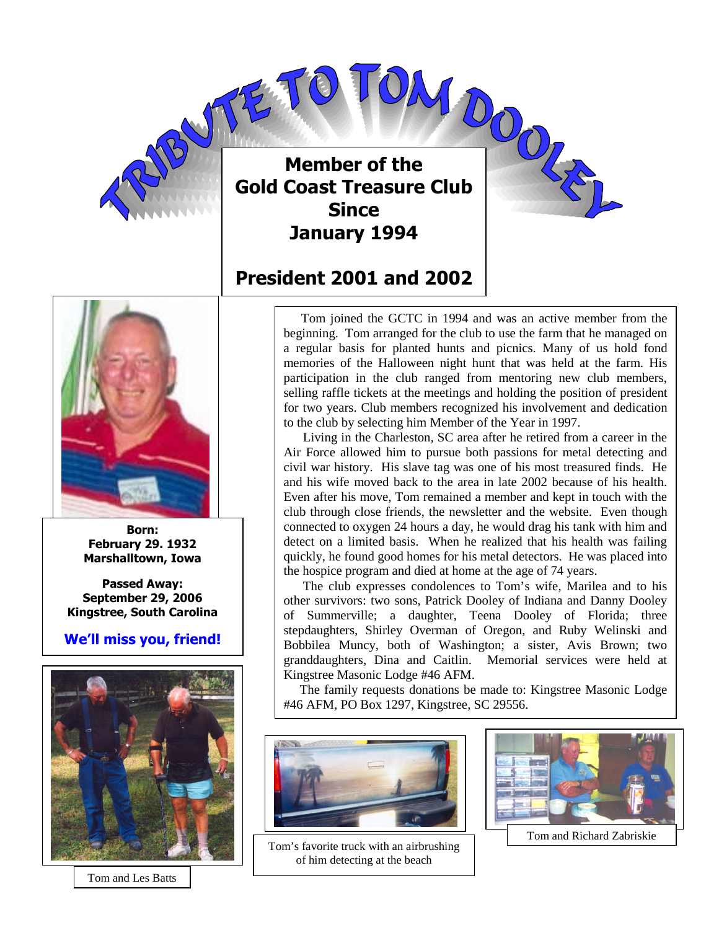

**Member of the Club Gold Coast Treasure Club Since January 1994**

# **President 2001 and 2002**



**Born: February 29. 1932 Marshalltown, Iowa**

**Passed Away: September 29, 2006 Kingstree, South Carolina**

**We'll miss you, friend!**



Tom and Les Batts

Tom joined the GCTC in 1994 and was an active member from the beginning. Tom arranged for the club to use the farm that he managed on a regular basis for planted hunts and picnics. Many of us hold fond memories of the Halloween night hunt that was held at the farm. His participation in the club ranged from mentoring new club members, selling raffle tickets at the meetings and holding the position of president for two years. Club members recognized his involvement and dedication to the club by selecting him Member of the Year in 1997.

Living in the Charleston, SC area after he retired from a career in the Air Force allowed him to pursue both passions for metal detecting and civil war history. His slave tag was one of his most treasured finds. He and his wife moved back to the area in late 2002 because of his health. Even after his move, Tom remained a member and kept in touch with the club through close friends, the newsletter and the website. Even though connected to oxygen 24 hours a day, he would drag his tank with him and detect on a limited basis. When he realized that his health was failing quickly, he found good homes for his metal detectors. He was placed into the hospice program and died at home at the age of 74 years.

The club expresses condolences to Tom's wife, Marilea and to his other survivors: two sons, Patrick Dooley of Indiana and Danny Dooley of Summerville; a daughter, Teena Dooley of Florida; three stepdaughters, Shirley Overman of Oregon, and Ruby Welinski and Bobbilea Muncy, both of Washington; a sister, Avis Brown; two granddaughters, Dina and Caitlin. Memorial services were held at Kingstree Masonic Lodge #46 AFM.

The family requests donations be made to: Kingstree Masonic Lodge #46 AFM, PO Box 1297, Kingstree, SC 29556.



Tom's favorite truck with an airbrushing of him detecting at the beach



Tom and Richard Zabriskie